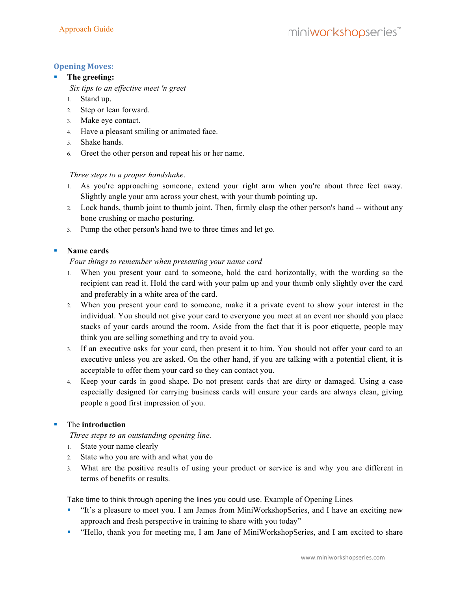# **Opening Moves:**

### **The greeting:**

*Six tips to an effective meet 'n greet*

- 1. Stand up.
- 2. Step or lean forward.
- 3. Make eye contact.
- 4. Have a pleasant smiling or animated face.
- 5. Shake hands.
- 6. Greet the other person and repeat his or her name.

## *Three steps to a proper handshake*.

- 1. As you're approaching someone, extend your right arm when you're about three feet away. Slightly angle your arm across your chest, with your thumb pointing up.
- 2. Lock hands, thumb joint to thumb joint. Then, firmly clasp the other person's hand -- without any bone crushing or macho posturing.
- 3. Pump the other person's hand two to three times and let go.

## **Name cards**

#### *Four things to remember when presenting your name card*

- 1. When you present your card to someone, hold the card horizontally, with the wording so the recipient can read it. Hold the card with your palm up and your thumb only slightly over the card and preferably in a white area of the card.
- 2. When you present your card to someone, make it a private event to show your interest in the individual. You should not give your card to everyone you meet at an event nor should you place stacks of your cards around the room. Aside from the fact that it is poor etiquette, people may think you are selling something and try to avoid you.
- 3. If an executive asks for your card, then present it to him. You should not offer your card to an executive unless you are asked. On the other hand, if you are talking with a potential client, it is acceptable to offer them your card so they can contact you.
- 4. Keep your cards in good shape. Do not present cards that are dirty or damaged. Using a case especially designed for carrying business cards will ensure your cards are always clean, giving people a good first impression of you.

# The **introduction**

*Three steps to an outstanding opening line.*

- 1. State your name clearly
- 2. State who you are with and what you do
- 3. What are the positive results of using your product or service is and why you are different in terms of benefits or results.

Take time to think through opening the lines you could use. Example of Opening Lines

- "It's a pleasure to meet you. I am James from MiniWorkshopSeries, and I have an exciting new approach and fresh perspective in training to share with you today"
- "Hello, thank you for meeting me, I am Jane of MiniWorkshopSeries, and I am excited to share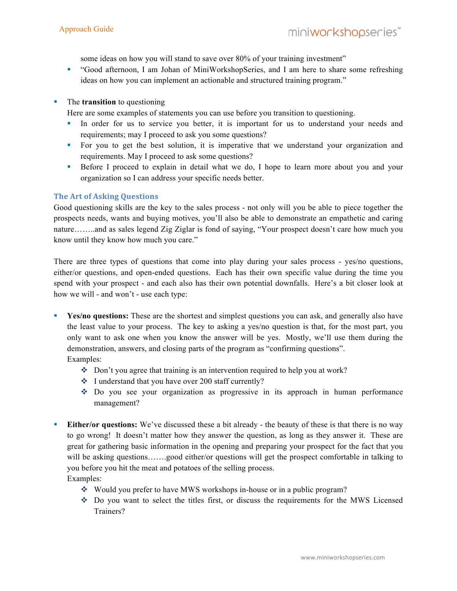some ideas on how you will stand to save over 80% of your training investment"

 "Good afternoon, I am Johan of MiniWorkshopSeries, and I am here to share some refreshing ideas on how you can implement an actionable and structured training program."

### The **transition** to questioning

Here are some examples of statements you can use before you transition to questioning.

- In order for us to service you better, it is important for us to understand your needs and requirements; may I proceed to ask you some questions?
- For you to get the best solution, it is imperative that we understand your organization and requirements. May I proceed to ask some questions?
- Before I proceed to explain in detail what we do, I hope to learn more about you and your organization so I can address your specific needs better.

## **The Art of Asking Questions**

Good questioning skills are the key to the sales process - not only will you be able to piece together the prospects needs, wants and buying motives, you'll also be able to demonstrate an empathetic and caring nature……..and as sales legend Zig Ziglar is fond of saying, "Your prospect doesn't care how much you know until they know how much you care."

There are three types of questions that come into play during your sales process - yes/no questions, either/or questions, and open-ended questions. Each has their own specific value during the time you spend with your prospect - and each also has their own potential downfalls. Here's a bit closer look at how we will - and won't - use each type:

- Yes/no questions: These are the shortest and simplest questions you can ask, and generally also have the least value to your process. The key to asking a yes/no question is that, for the most part, you only want to ask one when you know the answer will be yes. Mostly, we'll use them during the demonstration, answers, and closing parts of the program as "confirming questions". Examples:
	- Don't you agree that training is an intervention required to help you at work?
	- I understand that you have over 200 staff currently?
	- Do you see your organization as progressive in its approach in human performance management?
- **Either/or questions:** We've discussed these a bit already the beauty of these is that there is no way to go wrong! It doesn't matter how they answer the question, as long as they answer it. These are great for gathering basic information in the opening and preparing your prospect for the fact that you will be asking questions…….good either/or questions will get the prospect comfortable in talking to you before you hit the meat and potatoes of the selling process. Examples:
	- - Would you prefer to have MWS workshops in-house or in a public program?
		- Do you want to select the titles first, or discuss the requirements for the MWS Licensed Trainers?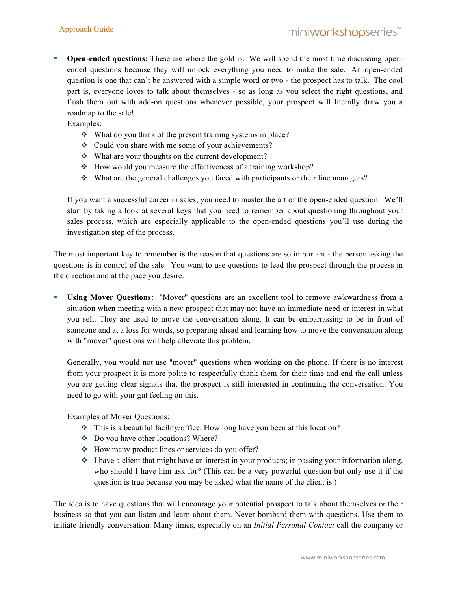**Open-ended questions:** These are where the gold is. We will spend the most time discussing openended questions because they will unlock everything you need to make the sale. An open-ended question is one that can't be answered with a simple word or two - the prospect has to talk. The cool part is, everyone loves to talk about themselves - so as long as you select the right questions, and flush them out with add-on questions whenever possible, your prospect will literally draw you a roadmap to the sale!

Examples:

- What do you think of the present training systems in place?
- Could you share with me some of your achievements?
- What are your thoughts on the current development?
- How would you measure the effectiveness of a training workshop?
- What are the general challenges you faced with participants or their line managers?

If you want a successful career in sales, you need to master the art of the open-ended question. We'll start by taking a look at several keys that you need to remember about questioning throughout your sales process, which are especially applicable to the open-ended questions you'll use during the investigation step of the process.

The most important key to remember is the reason that questions are so important - the person asking the questions is in control of the sale. You want to use questions to lead the prospect through the process in the direction and at the pace you desire.

 **Using Mover Questions:** "Mover" questions are an excellent tool to remove awkwardness from a situation when meeting with a new prospect that may not have an immediate need or interest in what you sell. They are used to move the conversation along. It can be embarrassing to be in front of someone and at a loss for words, so preparing ahead and learning how to move the conversation along with "mover" questions will help alleviate this problem.

Generally, you would not use "mover" questions when working on the phone. If there is no interest from your prospect it is more polite to respectfully thank them for their time and end the call unless you are getting clear signals that the prospect is still interested in continuing the conversation. You need to go with your gut feeling on this.

Examples of Mover Questions:

- This is a beautiful facility/office. How long have you been at this location?
- Do you have other locations? Where?
- ❖ How many product lines or services do you offer?
- $\cdot$  I have a client that might have an interest in your products; in passing your information along, who should I have him ask for? (This can be a very powerful question but only use it if the question is true because you may be asked what the name of the client is.)

The idea is to have questions that will encourage your potential prospect to talk about themselves or their business so that you can listen and learn about them. Never bombard them with questions. Use them to initiate friendly conversation. Many times, especially on an *Initial Personal Contact* call the company or